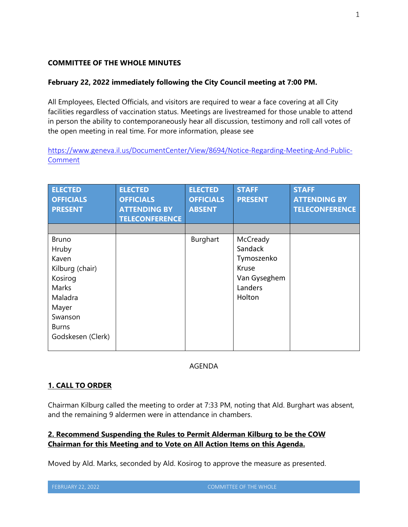### **COMMITTEE OF THE WHOLE MINUTES**

### **February 22, 2022 immediately following the City Council meeting at 7:00 PM.**

All Employees, Elected Officials, and visitors are required to wear a face covering at all City facilities regardless of vaccination status. Meetings are livestreamed for those unable to attend in person the ability to contemporaneously hear all discussion, testimony and roll call votes of the open meeting in real time. For more information, please see

https://www.geneva.il.us/DocumentCenter/View/8694/Notice-Regarding-Meeting-And-Public-Comment

| <b>ELECTED</b><br><b>OFFICIALS</b><br><b>PRESENT</b>                                                                                      | <b>ELECTED</b><br><b>OFFICIALS</b><br><b>ATTENDING BY</b><br><b>TELECONFERENCE</b> | <b>ELECTED</b><br><b>OFFICIALS</b><br><b>ABSENT</b> | <b>STAFF</b><br><b>PRESENT</b>                                                  | <b>STAFF</b><br><b>ATTENDING BY</b><br><b>TELECONFERENCE</b> |
|-------------------------------------------------------------------------------------------------------------------------------------------|------------------------------------------------------------------------------------|-----------------------------------------------------|---------------------------------------------------------------------------------|--------------------------------------------------------------|
|                                                                                                                                           |                                                                                    |                                                     |                                                                                 |                                                              |
| <b>Bruno</b><br>Hruby<br>Kaven<br>Kilburg (chair)<br>Kosirog<br>Marks<br>Maladra<br>Mayer<br>Swanson<br><b>Burns</b><br>Godskesen (Clerk) |                                                                                    | Burghart                                            | McCready<br>Sandack<br>Tymoszenko<br>Kruse<br>Van Gyseghem<br>Landers<br>Holton |                                                              |

### AGENDA

# **1. CALL TO ORDER**

Chairman Kilburg called the meeting to order at 7:33 PM, noting that Ald. Burghart was absent, and the remaining 9 aldermen were in attendance in chambers.

# **2. Recommend Suspending the Rules to Permit Alderman Kilburg to be the COW Chairman for this Meeting and to Vote on All Action Items on this Agenda.**

Moved by Ald. Marks, seconded by Ald. Kosirog to approve the measure as presented.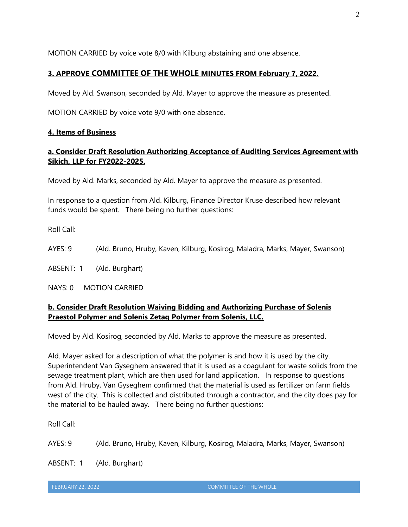MOTION CARRIED by voice vote 8/0 with Kilburg abstaining and one absence.

# **3. APPROVE COMMITTEE OF THE WHOLE MINUTES FROM February 7, 2022.**

Moved by Ald. Swanson, seconded by Ald. Mayer to approve the measure as presented.

MOTION CARRIED by voice vote 9/0 with one absence.

### **4. Items of Business**

# **a. Consider Draft Resolution Authorizing Acceptance of Auditing Services Agreement with Sikich, LLP for FY2022-2025.**

Moved by Ald. Marks, seconded by Ald. Mayer to approve the measure as presented.

In response to a question from Ald. Kilburg, Finance Director Kruse described how relevant funds would be spent. There being no further questions:

Roll Call:

AYES: 9 (Ald. Bruno, Hruby, Kaven, Kilburg, Kosirog, Maladra, Marks, Mayer, Swanson)

ABSENT: 1 (Ald. Burghart)

NAYS: 0 MOTION CARRIED

# **b. Consider Draft Resolution Waiving Bidding and Authorizing Purchase of Solenis Praestol Polymer and Solenis Zetag Polymer from Solenis, LLC.**

Moved by Ald. Kosirog, seconded by Ald. Marks to approve the measure as presented.

Ald. Mayer asked for a description of what the polymer is and how it is used by the city. Superintendent Van Gyseghem answered that it is used as a coagulant for waste solids from the sewage treatment plant, which are then used for land application. In response to questions from Ald. Hruby, Van Gyseghem confirmed that the material is used as fertilizer on farm fields west of the city. This is collected and distributed through a contractor, and the city does pay for the material to be hauled away. There being no further questions:

Roll Call:

AYES: 9 (Ald. Bruno, Hruby, Kaven, Kilburg, Kosirog, Maladra, Marks, Mayer, Swanson)

ABSENT: 1 (Ald. Burghart)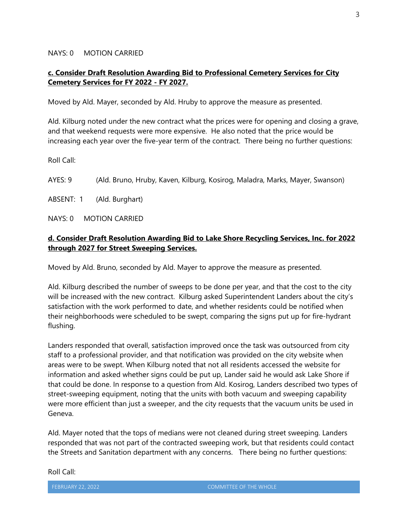#### NAYS: 0 MOTION CARRIED

### **c. Consider Draft Resolution Awarding Bid to Professional Cemetery Services for City Cemetery Services for FY 2022 - FY 2027.**

Moved by Ald. Mayer, seconded by Ald. Hruby to approve the measure as presented.

Ald. Kilburg noted under the new contract what the prices were for opening and closing a grave, and that weekend requests were more expensive. He also noted that the price would be increasing each year over the five-year term of the contract. There being no further questions:

Roll Call:

AYES: 9 (Ald. Bruno, Hruby, Kaven, Kilburg, Kosirog, Maladra, Marks, Mayer, Swanson)

ABSENT: 1 (Ald. Burghart)

NAYS: 0 MOTION CARRIED

### **d. Consider Draft Resolution Awarding Bid to Lake Shore Recycling Services, Inc. for 2022 through 2027 for Street Sweeping Services.**

Moved by Ald. Bruno, seconded by Ald. Mayer to approve the measure as presented.

Ald. Kilburg described the number of sweeps to be done per year, and that the cost to the city will be increased with the new contract. Kilburg asked Superintendent Landers about the city's satisfaction with the work performed to date, and whether residents could be notified when their neighborhoods were scheduled to be swept, comparing the signs put up for fire-hydrant flushing.

Landers responded that overall, satisfaction improved once the task was outsourced from city staff to a professional provider, and that notification was provided on the city website when areas were to be swept. When Kilburg noted that not all residents accessed the website for information and asked whether signs could be put up, Lander said he would ask Lake Shore if that could be done. In response to a question from Ald. Kosirog, Landers described two types of street-sweeping equipment, noting that the units with both vacuum and sweeping capability were more efficient than just a sweeper, and the city requests that the vacuum units be used in Geneva.

Ald. Mayer noted that the tops of medians were not cleaned during street sweeping. Landers responded that was not part of the contracted sweeping work, but that residents could contact the Streets and Sanitation department with any concerns. There being no further questions:

Roll Call: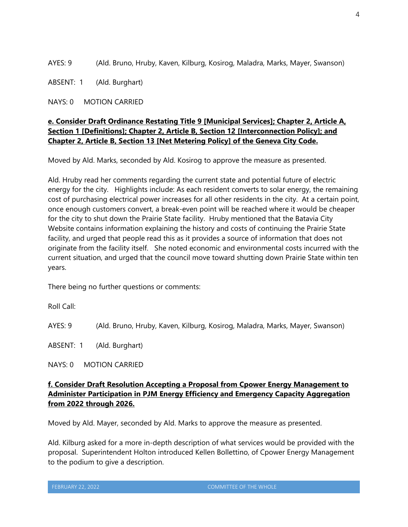AYES: 9 (Ald. Bruno, Hruby, Kaven, Kilburg, Kosirog, Maladra, Marks, Mayer, Swanson)

ABSENT: 1 (Ald. Burghart)

NAYS: 0 MOTION CARRIED

# **e. Consider Draft Ordinance Restating Title 9 [Municipal Services]; Chapter 2, Article A, Section 1 [Definitions]; Chapter 2, Article B, Section 12 [Interconnection Policy]; and Chapter 2, Article B, Section 13 [Net Metering Policy] of the Geneva City Code.**

Moved by Ald. Marks, seconded by Ald. Kosirog to approve the measure as presented.

Ald. Hruby read her comments regarding the current state and potential future of electric energy for the city. Highlights include: As each resident converts to solar energy, the remaining cost of purchasing electrical power increases for all other residents in the city. At a certain point, once enough customers convert, a break-even point will be reached where it would be cheaper for the city to shut down the Prairie State facility. Hruby mentioned that the Batavia City Website contains information explaining the history and costs of continuing the Prairie State facility, and urged that people read this as it provides a source of information that does not originate from the facility itself. She noted economic and environmental costs incurred with the current situation, and urged that the council move toward shutting down Prairie State within ten years.

There being no further questions or comments:

Roll Call:

AYES: 9 (Ald. Bruno, Hruby, Kaven, Kilburg, Kosirog, Maladra, Marks, Mayer, Swanson)

ABSENT: 1 (Ald. Burghart)

NAYS: 0 MOTION CARRIED

### **f. Consider Draft Resolution Accepting a Proposal from Cpower Energy Management to Administer Participation in PJM Energy Efficiency and Emergency Capacity Aggregation from 2022 through 2026.**

Moved by Ald. Mayer, seconded by Ald. Marks to approve the measure as presented.

Ald. Kilburg asked for a more in-depth description of what services would be provided with the proposal. Superintendent Holton introduced Kellen Bollettino, of Cpower Energy Management to the podium to give a description.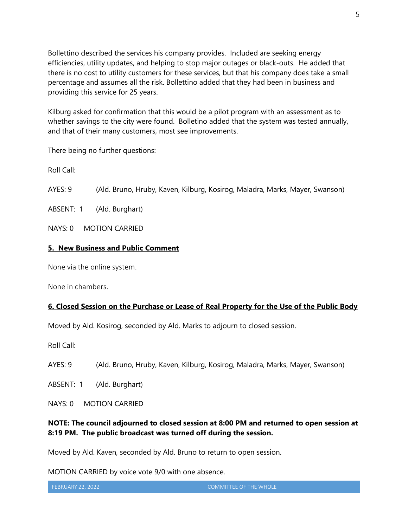Bollettino described the services his company provides. Included are seeking energy efficiencies, utility updates, and helping to stop major outages or black-outs. He added that there is no cost to utility customers for these services, but that his company does take a small percentage and assumes all the risk. Bollettino added that they had been in business and providing this service for 25 years.

Kilburg asked for confirmation that this would be a pilot program with an assessment as to whether savings to the city were found. Bolletino added that the system was tested annually, and that of their many customers, most see improvements.

There being no further questions:

Roll Call:

AYES: 9 (Ald. Bruno, Hruby, Kaven, Kilburg, Kosirog, Maladra, Marks, Mayer, Swanson)

ABSENT: 1 (Ald. Burghart)

NAYS: 0 MOTION CARRIED

### **5. New Business and Public Comment**

None via the online system.

None in chambers.

### **6. Closed Session on the Purchase or Lease of Real Property for the Use of the Public Body**

Moved by Ald. Kosirog, seconded by Ald. Marks to adjourn to closed session.

Roll Call:

AYES: 9 (Ald. Bruno, Hruby, Kaven, Kilburg, Kosirog, Maladra, Marks, Mayer, Swanson)

ABSENT: 1 (Ald. Burghart)

NAYS: 0 MOTION CARRIED

# **NOTE: The council adjourned to closed session at 8:00 PM and returned to open session at 8:19 PM. The public broadcast was turned off during the session.**

Moved by Ald. Kaven, seconded by Ald. Bruno to return to open session.

MOTION CARRIED by voice vote 9/0 with one absence.